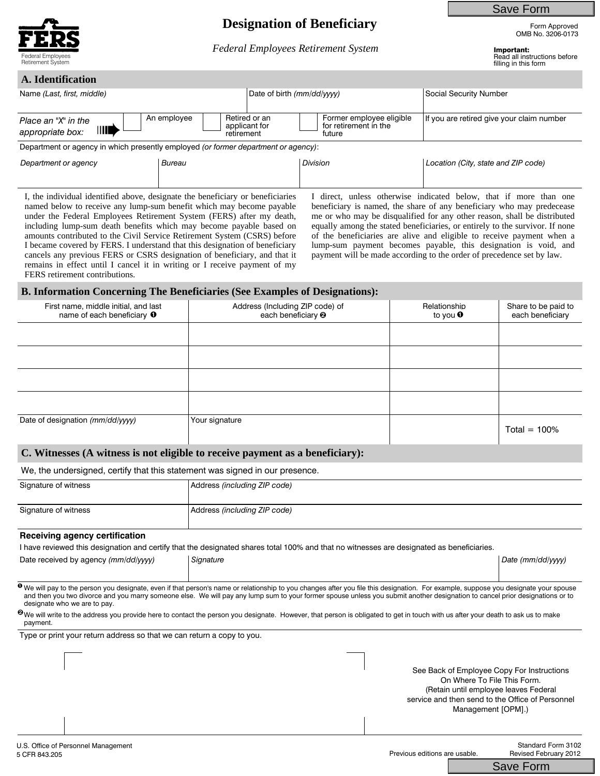

## **Designation of Beneficiary** Form Approved

*Federal Employees Retirement System* Theorem **Important:** 

Save Form

OMB No. 3206-0173

# Federal Employees **Read all instructions before**<br>Read all instructions before<br>Religions in this form

filling in this form

| A. Identification                                                                  |                           |                                |                                                             |                                           |  |
|------------------------------------------------------------------------------------|---------------------------|--------------------------------|-------------------------------------------------------------|-------------------------------------------|--|
| Name (Last, first, middle)                                                         |                           | Date of birth (mm/dd/yyyy)     |                                                             | Social Security Number                    |  |
| Place an "X" in the<br>$\mathbf{    }$<br>appropriate box:                         | An employee<br>retirement | Retired or an<br>applicant for | Former employee eligible<br>for retirement in the<br>future | If you are retired give your claim number |  |
| Department or agency in which presently employed (or former department or agency): |                           |                                |                                                             |                                           |  |
| Department or agency                                                               | Bureau                    | <b>Division</b>                |                                                             | Location (City, state and ZIP code)       |  |

I, the individual identified above, designate the beneficiary or beneficiaries named below to receive any lump-sum benefit which may become payable under the Federal Employees Retirement System (FERS) after my death, including lump-sum death benefits which may become payable based on amounts contributed to the Civil Service Retirement System (CSRS) before I became covered by FERS. I understand that this designation of beneficiary cancels any previous FERS or CSRS designation of beneficiary, and that it remains in effect until I cancel it in writing or I receive payment of my FERS retirement contributions.

I direct, unless otherwise indicated below, that if more than one beneficiary is named, the share of any beneficiary who may predecease me or who may be disqualified for any other reason, shall be distributed equally among the stated beneficiaries, or entirely to the survivor. If none of the beneficiaries are alive and eligible to receive payment when a lump-sum payment becomes payable, this designation is void, and payment will be made according to the order of precedence set by law.

#### **B. Information Concerning The Beneficiaries (See Examples of Designations):**

| First name, middle initial, and last<br>name of each beneficiary $\mathbf 0$ | Address (Including ZIP code) of<br>each beneficiary <sup>2</sup> | Relationship<br>to you $\mathbf 0$ | Share to be paid to<br>each beneficiary |
|------------------------------------------------------------------------------|------------------------------------------------------------------|------------------------------------|-----------------------------------------|
|                                                                              |                                                                  |                                    |                                         |
|                                                                              |                                                                  |                                    |                                         |
|                                                                              |                                                                  |                                    |                                         |
|                                                                              |                                                                  |                                    |                                         |
| Date of designation (mm/dd/yyyy)                                             | Your signature                                                   |                                    | Total = $100\%$                         |

#### **C. Witnesses (A witness is not eligible to receive payment as a beneficiary):**

#### We, the undersigned, certify that this statement was signed in our presence.

| Signature of witness | Address (including ZIP code) |
|----------------------|------------------------------|
| Signature of witness | Address (including ZIP code) |

#### **Receiving agency certification**

|  | I have reviewed this designation and certify that the designated shares total 100% and that no witnesses are designated as beneficiaries. |
|--|-------------------------------------------------------------------------------------------------------------------------------------------|
|  |                                                                                                                                           |

Date received by agency *(mm/dd/yyyy)* | Signature | Date (mm/dd/yyyy) **| Date (mm/dd/yyyy)** | Date (mm/dd/yyyy) **|** Date (mm/dd/yyyy) **|** Date (mm/dd/yyyy) | Date (mm/dd/yyyy) | Date (mm/dd/yyyy) | Date (mm/dd/yyyy) | Dat

 $\overline{\bullet}$  We will pay to the person you designate, even if that person's name or relationship to you changes after you file this designation. For example, suppose you designate your spouse and then you two divorce and you marry someone else. We will pay any lump sum to your former spouse unless you submit another designation to cancel prior designations or to designate who we are to pay.

 $\bm{e}$ we will write to the address you provide here to contact the person you designate. However, that person is obligated to get in touch with us after your death to ask us to make payment.

Type or print your return address so that we can return a copy to you.

See Back of Employee Copy For Instructions On Where To File This Form. (Retain until employee leaves Federal service and then send to the Office of Personnel Management [OPM].)

Standard Form 3102 Revised February 2012

Save Form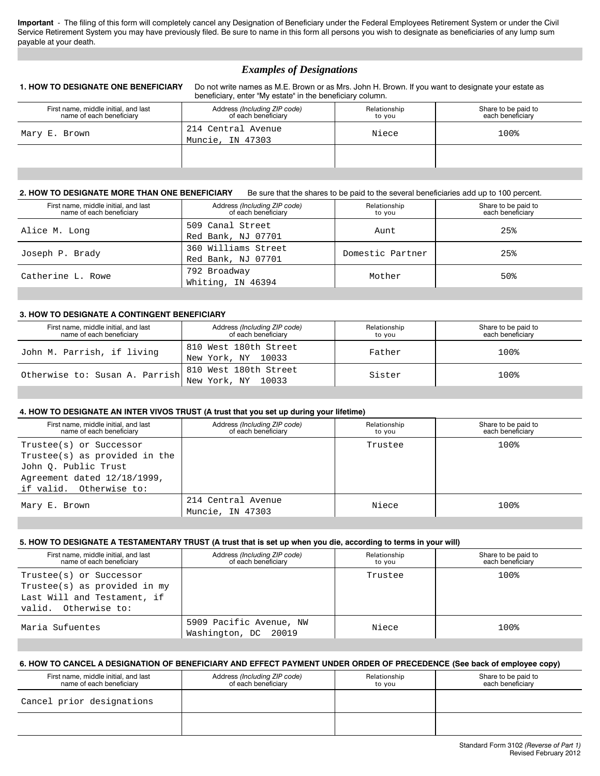**Important** - The filing of this form will completely cancel any Designation of Beneficiary under the Federal Employees Retirement System or under the Civil Service Retirement System you may have previously filed. Be sure to name in this form all persons you wish to designate as beneficiaries of any lump sum payable at your death.

### *Examples of Designations*

**1. HOW TO DESIGNATE ONE BENEFICIARY** Do not write names as M.E. Brown or as Mrs. John H. Brown. If you want to designate your estate as beneficiary, enter "My estate" in the beneficiary column.

| First name, middle initial, and last<br>name of each beneficiary | Address (Including ZIP code)<br>of each beneficiary | Relationship<br>to you | Share to be paid to<br>each beneficiarv |
|------------------------------------------------------------------|-----------------------------------------------------|------------------------|-----------------------------------------|
| Mary E. Brown                                                    | 214 Central Avenue<br>Muncie, IN 47303              | Niece                  | 100%                                    |
|                                                                  |                                                     |                        |                                         |
|                                                                  |                                                     |                        |                                         |

#### **2. HOW TO DESIGNATE MORE THAN ONE BENEFICIARY** Be sure that the shares to be paid to the several beneficiaries add up to 100 percent.

| First name, middle initial, and last<br>name of each beneficiary | Address (Including ZIP code)<br>of each beneficiary | Relationship<br>to vou | Share to be paid to<br>each beneficiary |
|------------------------------------------------------------------|-----------------------------------------------------|------------------------|-----------------------------------------|
| Alice M. Long                                                    | 509 Canal Street<br>Red Bank, NJ 07701              | Aunt                   | 25%                                     |
| Joseph P. Brady                                                  | 360 Williams Street<br>Red Bank, NJ 07701           | Domestic Partner       | 25%                                     |
| Catherine L. Rowe                                                | 792 Broadway<br>Whiting, IN 46394                   | Mother                 | 50%                                     |

#### **3. HOW TO DESIGNATE A CONTINGENT BENEFICIARY**

| First name, middle initial, and last<br>name of each beneficiary                                          | Address (Including ZIP code)<br>of each beneficiary | Relationship<br>to vou | Share to be paid to<br>each beneficiary |
|-----------------------------------------------------------------------------------------------------------|-----------------------------------------------------|------------------------|-----------------------------------------|
| John M. Parrish, if living                                                                                | 810 West 180th Street<br>New York, NY 10033         | Father                 | 100%                                    |
| Otherwise to: Susan A. Parrish $\begin{array}{ccc} 0 & 0 & 0 \\ 0 & 0 & 0 \end{array}$ New York, NY 10033 |                                                     | Sister                 | 100%                                    |

#### **4. HOW TO DESIGNATE AN INTER VIVOS TRUST (A trust that you set up during your lifetime)**

| First name, middle initial, and last<br>name of each beneficiary | Address (Including ZIP code)<br>of each beneficiary | Relationship<br>to you | Share to be paid to<br>each beneficiary |
|------------------------------------------------------------------|-----------------------------------------------------|------------------------|-----------------------------------------|
| Trustee(s) or Successor                                          |                                                     | Trustee                | 100%                                    |
| Trustee(s) as provided in the                                    |                                                     |                        |                                         |
| John O. Public Trust                                             |                                                     |                        |                                         |
| Agreement dated $12/18/1999$ ,                                   |                                                     |                        |                                         |
| if valid. Otherwise to:                                          |                                                     |                        |                                         |
| Mary E. Brown                                                    | 214 Central Avenue<br>Muncie, IN 47303              | Niece                  | 100%                                    |

#### **5. HOW TO DESIGNATE A TESTAMENTARY TRUST (A trust that is set up when you die, according to terms in your will)**

| First name, middle initial, and last<br>name of each beneficiary                                               | Address (Including ZIP code)<br>of each beneficiary | Relationship<br>to vou | Share to be paid to<br>each beneficiary |
|----------------------------------------------------------------------------------------------------------------|-----------------------------------------------------|------------------------|-----------------------------------------|
| Trustee(s) or Successor<br>Trustee(s) as provided in my<br>Last Will and Testament, if<br>valid. Otherwise to: |                                                     | Trustee                | 100%                                    |
| Maria Sufuentes                                                                                                | 5909 Pacific Avenue, NW<br>Washington, DC 20019     | Niece                  | 100%                                    |

#### **6. HOW TO CANCEL A DESIGNATION OF BENEFICIARY AND EFFECT PAYMENT UNDER ORDER OF PRECEDENCE (See back of employee copy)**

| First name, middle initial, and last<br>name of each beneficiary | Address (Including ZIP code)<br>of each beneficiary | Relationship<br>to vou | Share to be paid to<br>each beneficiary |
|------------------------------------------------------------------|-----------------------------------------------------|------------------------|-----------------------------------------|
| Cancel prior designations                                        |                                                     |                        |                                         |
|                                                                  |                                                     |                        |                                         |